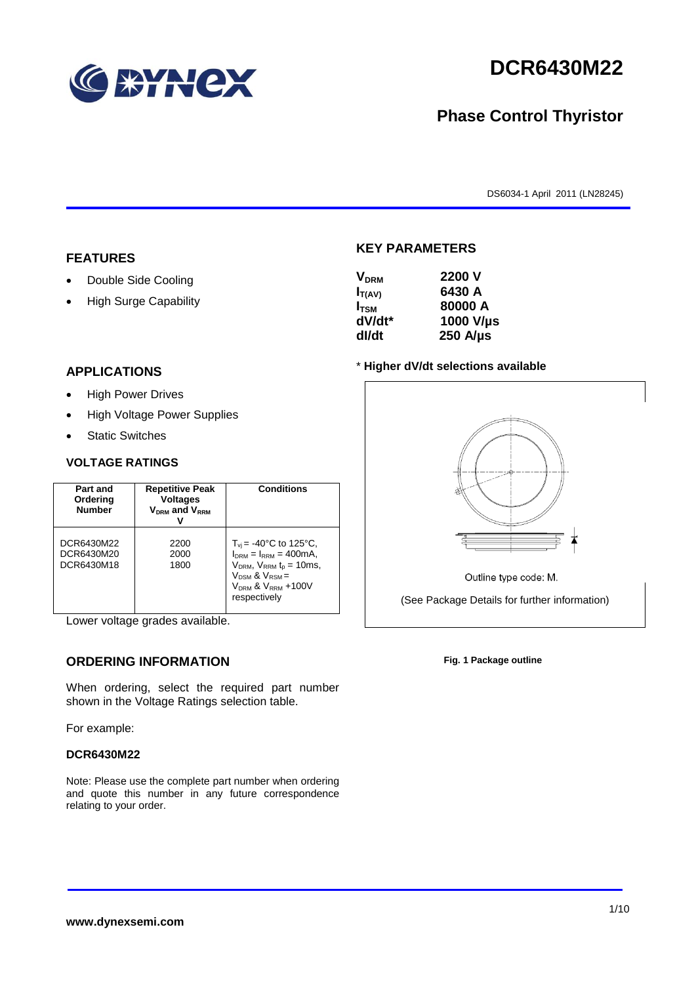

# **DCR6430M22**

# **Phase Control Thyristor**

DS6034-1 April 2011 (LN28245)

#### **FEATURES**

- Double Side Cooling
- High Surge Capability

# **APPLICATIONS**

- High Power Drives
- High Voltage Power Supplies
- Static Switches

#### **VOLTAGE RATINGS**

| Part and<br>Ordering<br><b>Number</b>  | <b>Repetitive Peak</b><br><b>Voltages</b><br>$V_{DRM}$ and $V_{RRM}$ | <b>Conditions</b>                                                                                                                                                                      |
|----------------------------------------|----------------------------------------------------------------------|----------------------------------------------------------------------------------------------------------------------------------------------------------------------------------------|
| DCR6430M22<br>DCR6430M20<br>DCR6430M18 | 2200<br>2000<br>1800                                                 | $T_{vi}$ = -40°C to 125°C,<br>$I_{DRM} = I_{RRM} = 400 \text{mA}$ ,<br>$V_{DRM}$ , $V_{RRM}$ $t_{p}$ = 10ms,<br>$V_{DSM}$ & $V_{RSM}$ =<br>$V_{DRM}$ & $V_{RRM}$ +100V<br>respectively |

Lower voltage grades available.

## **ORDERING INFORMATION**

When ordering, select the required part number shown in the Voltage Ratings selection table.

For example:

#### **DCR6430M22**

Note: Please use the complete part number when ordering and quote this number in any future correspondence relating to your order.

#### **KEY PARAMETERS**

| <b>V<sub>DRM</sub></b> | 2200 V           |
|------------------------|------------------|
| $I_{T(AV)}$            | 6430 A           |
| I <sub>TSM</sub>       | 80000 A          |
| dV/dt*                 | 1000 V/µs        |
| dl/dt                  | $250$ A/ $\mu$ s |

#### \* **Higher dV/dt selections available**



Outline type code: M.

(See Package Details for further information)

**Fig. 1 Package outline**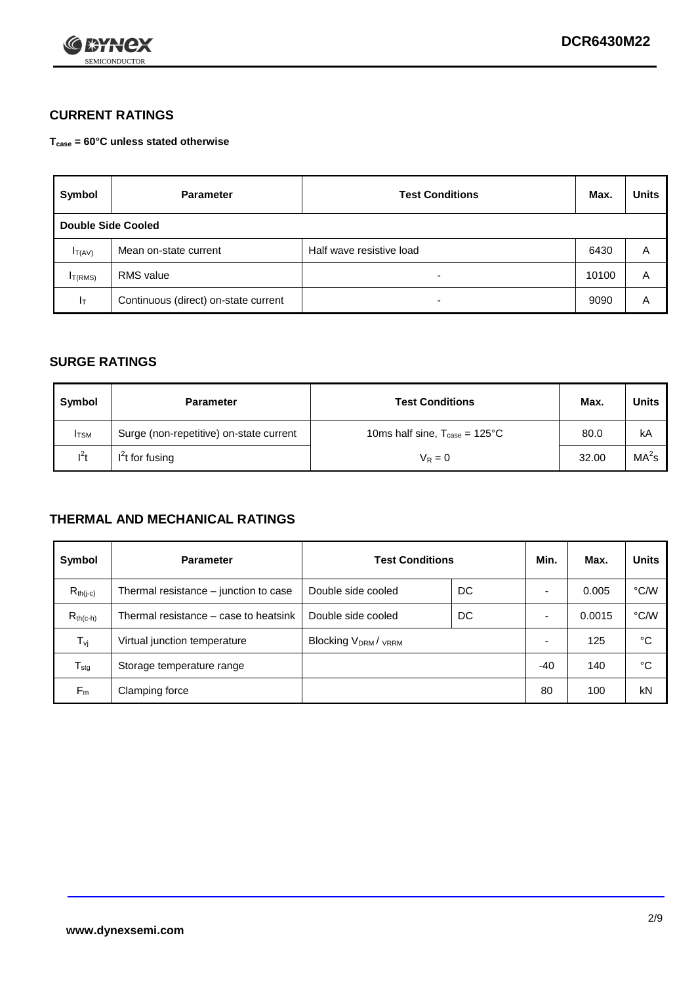

## **CURRENT RATINGS**

**Tcase = 60°C unless stated otherwise**

| Symbol             | <b>Parameter</b>                     | <b>Test Conditions</b>   |       | <b>Units</b> |  |
|--------------------|--------------------------------------|--------------------------|-------|--------------|--|
| Double Side Cooled |                                      |                          |       |              |  |
| $I_{T(AV)}$        | Mean on-state current                | Half wave resistive load | 6430  | A            |  |
| $I_{T(RMS)}$       | RMS value                            | $\overline{\phantom{a}}$ | 10100 | Α            |  |
| Iт                 | Continuous (direct) on-state current | $\overline{\phantom{a}}$ | 9090  | Α            |  |

#### **SURGE RATINGS**

| Symbol       | <b>Parameter</b>                        | <b>Test Conditions</b>                           | Max.  | <b>Units</b>      |
|--------------|-----------------------------------------|--------------------------------------------------|-------|-------------------|
| <b>I</b> TSM | Surge (non-repetitive) on-state current | 10ms half sine, $T_{\text{case}} = 125^{\circ}C$ |       | kA                |
| $l^2t$       | I <sup>2</sup> t for fusing             | $V_R = 0$                                        | 32.00 | MA <sup>2</sup> S |

### **THERMAL AND MECHANICAL RATINGS**

| Symbol           | <b>Parameter</b>                      | <b>Test Conditions</b>                      |    | Min.  | Max.   | <b>Units</b> |
|------------------|---------------------------------------|---------------------------------------------|----|-------|--------|--------------|
| $R_{th(j-c)}$    | Thermal resistance – junction to case | Double side cooled                          | DC |       | 0.005  | °C/W         |
| $R_{th(c-h)}$    | Thermal resistance – case to heatsink | Double side cooled                          | DC |       | 0.0015 | °C/W         |
| $T_{\nu j}$      | Virtual junction temperature          | Blocking V <sub>DRM</sub> / <sub>VRRM</sub> |    |       | 125    | °C           |
| $T_{\text{stg}}$ | Storage temperature range             |                                             |    | $-40$ | 140    | °C           |
| $F_m$            | Clamping force                        |                                             |    | 80    | 100    | kN           |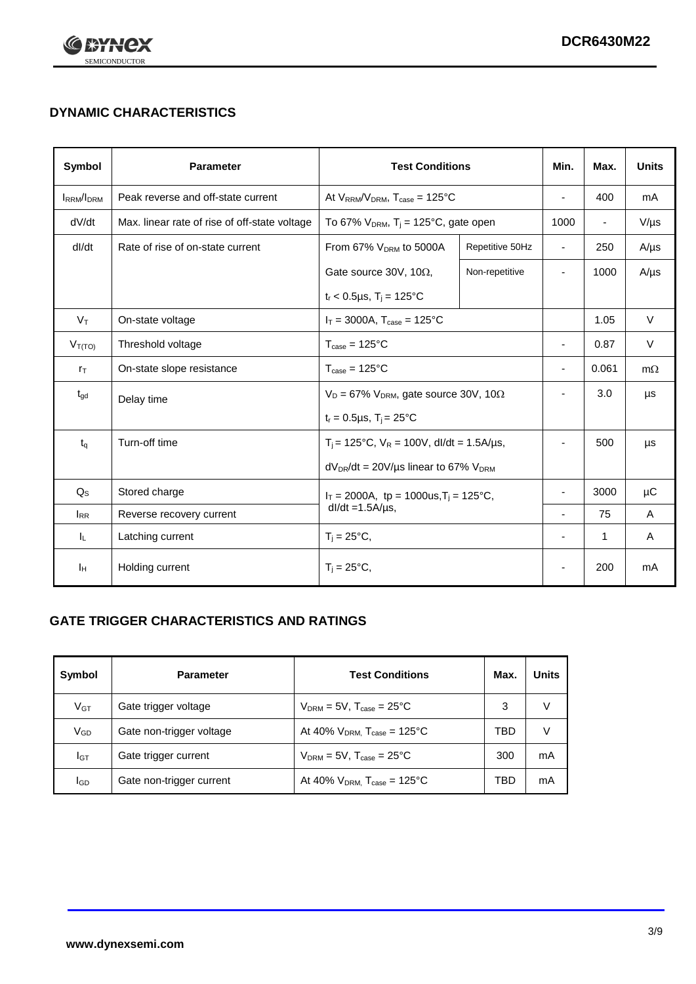

# **DYNAMIC CHARACTERISTICS**

| <b>Symbol</b>     | <b>Parameter</b>                              | <b>Test Conditions</b>                                                         |                 | Min.                     | Max.                     | <b>Units</b> |
|-------------------|-----------------------------------------------|--------------------------------------------------------------------------------|-----------------|--------------------------|--------------------------|--------------|
| <b>IRRM</b> /IDRM | Peak reverse and off-state current            | At $V_{RRM}/V_{DRM}$ , $T_{case} = 125^{\circ}C$                               |                 | $\blacksquare$           | 400                      | mA           |
| dV/dt             | Max. linear rate of rise of off-state voltage | To 67% $V_{DRM}$ , T <sub>i</sub> = 125°C, gate open                           |                 | 1000                     | $\overline{\phantom{a}}$ | $V/\mu s$    |
| dl/dt             | Rate of rise of on-state current              | From 67% $V_{DRM}$ to 5000A                                                    | Repetitive 50Hz | $\overline{\phantom{a}}$ | 250                      | $A/\mu s$    |
|                   |                                               | Gate source 30V, 10 $\Omega$ ,                                                 | Non-repetitive  |                          | 1000                     | $A/\mu s$    |
|                   |                                               | $t_r < 0.5 \mu s$ , $T_j = 125$ °C                                             |                 |                          |                          |              |
| $V_T$             | On-state voltage                              | $I_T = 3000A$ , $T_{case} = 125^{\circ}C$                                      |                 |                          | 1.05                     | $\vee$       |
| $V_{T(TO)}$       | Threshold voltage                             | $T_{\text{case}} = 125^{\circ}C$                                               |                 | $\blacksquare$           | 0.87                     | $\vee$       |
| $r_{\text{T}}$    | On-state slope resistance                     | $T_{\text{case}} = 125^{\circ}C$                                               |                 | $\blacksquare$           | 0.061                    | $m\Omega$    |
| $t_{\rm gd}$      | Delay time                                    | $V_D = 67\%$ V <sub>DRM</sub> , gate source 30V, 10 $\Omega$                   |                 | $\overline{\phantom{a}}$ | 3.0                      | μs           |
|                   |                                               | $t_r = 0.5 \mu s$ , $T_i = 25^{\circ}C$                                        |                 |                          |                          |              |
| $t_{q}$           | Turn-off time                                 | $T_i$ = 125°C, $V_R$ = 100V, dl/dt = 1.5A/µs,                                  |                 | $\blacksquare$           | 500                      | μs           |
|                   |                                               | $dV_{DR}/dt = 20V/\mu s$ linear to 67% $V_{DRM}$                               |                 |                          |                          |              |
| $Q_{\rm S}$       | Stored charge                                 | $I_T = 2000$ A, tp = 1000us, T <sub>i</sub> = 125°C,<br>$dl/dt = 1.5A/\mu s$ , |                 |                          | 3000                     | μC           |
| $I_{RR}$          | Reverse recovery current                      |                                                                                |                 |                          | 75                       | Α            |
| IL.               | Latching current                              | $T_i = 25^{\circ}C$ ,                                                          |                 | $\overline{a}$           | $\mathbf{1}$             | Α            |
| Iн                | Holding current                               | $T_i = 25^{\circ}C,$                                                           |                 |                          | 200                      | mA           |

## **GATE TRIGGER CHARACTERISTICS AND RATINGS**

| Symbol          | <b>Test Conditions</b><br><b>Parameter</b> |                                       | Max. | Units |
|-----------------|--------------------------------------------|---------------------------------------|------|-------|
| V <sub>GT</sub> | Gate trigger voltage                       | $V_{DRM}$ = 5V, $T_{case}$ = 25°C     | 3    | V     |
| $V_{GD}$        | Gate non-trigger voltage                   | At 40% $V_{DRM}$ , $T_{case}$ = 125°C | TBD  | V     |
| Iст             | Gate trigger current                       | $V_{DRM}$ = 5V, $T_{case}$ = 25°C     | 300  | mA    |
| <b>I</b> GD     | Gate non-trigger current                   | At 40% $V_{DRM}$ , $T_{case}$ = 125°C | TBD  | mA    |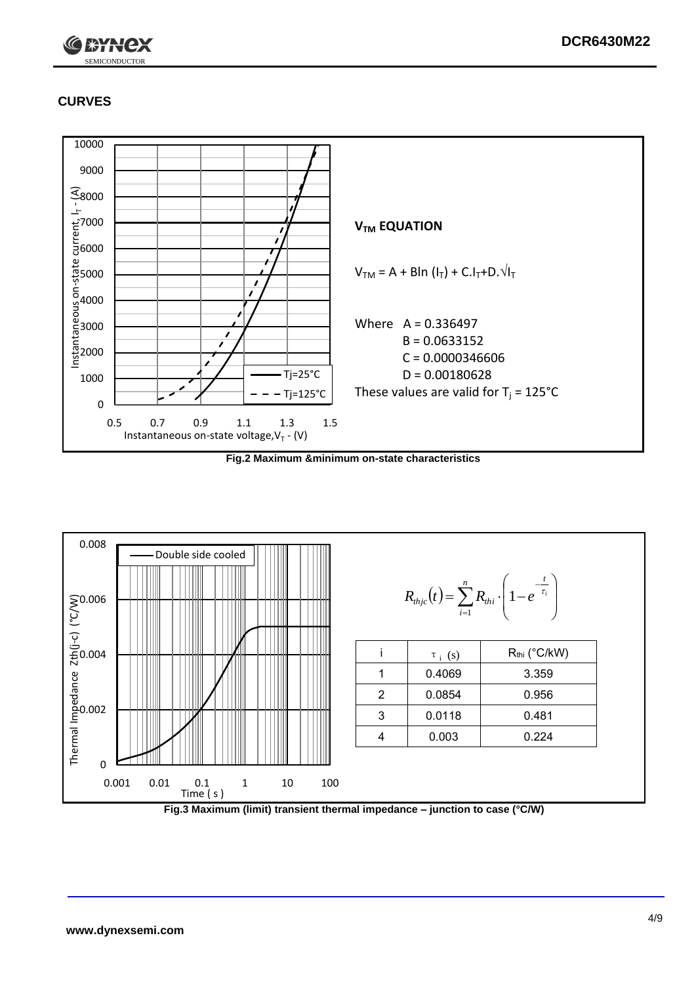

# **CURVES**



**Fig.2 Maximum &minimum on-state characteristics**



**Fig.3 Maximum (limit) transient thermal impedance – junction to case (°C/W)**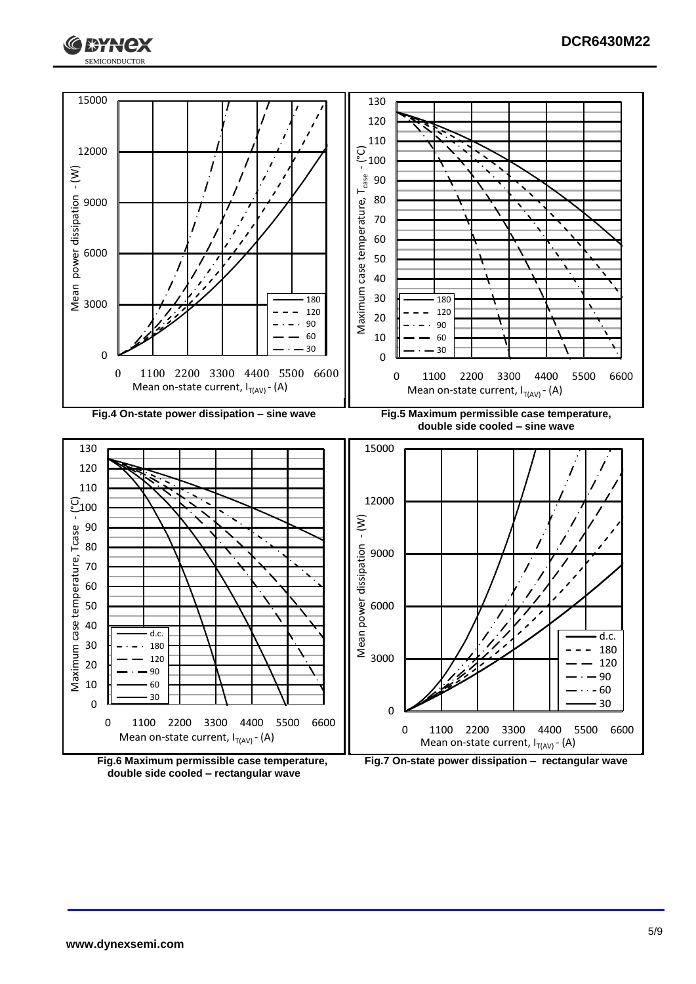



**Fig.6 Maximum permissible case temperature, double side cooled – rectangular wave**

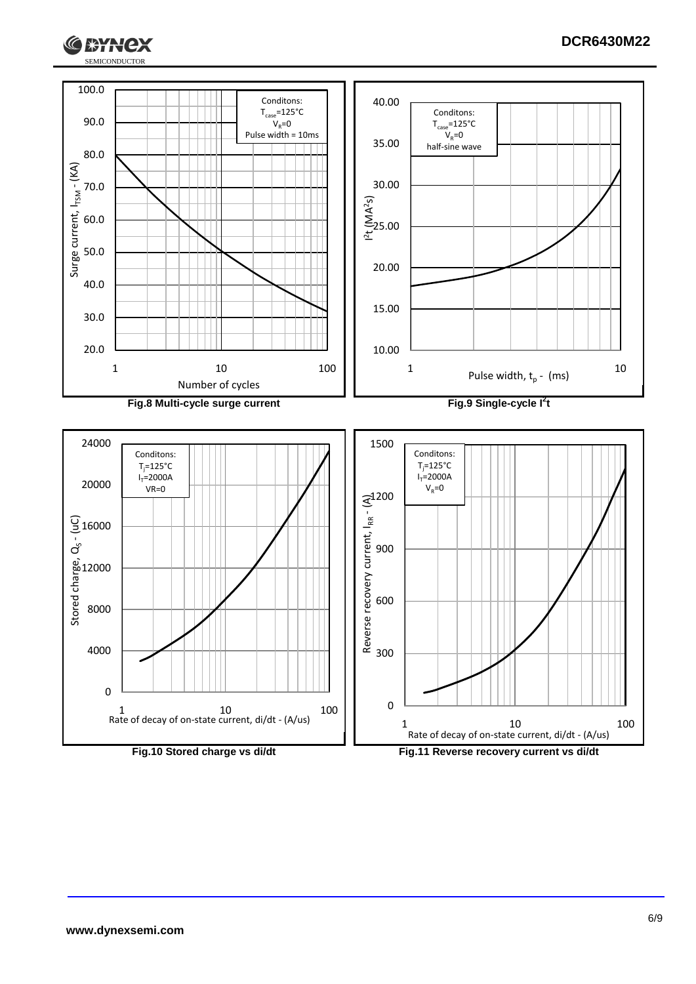

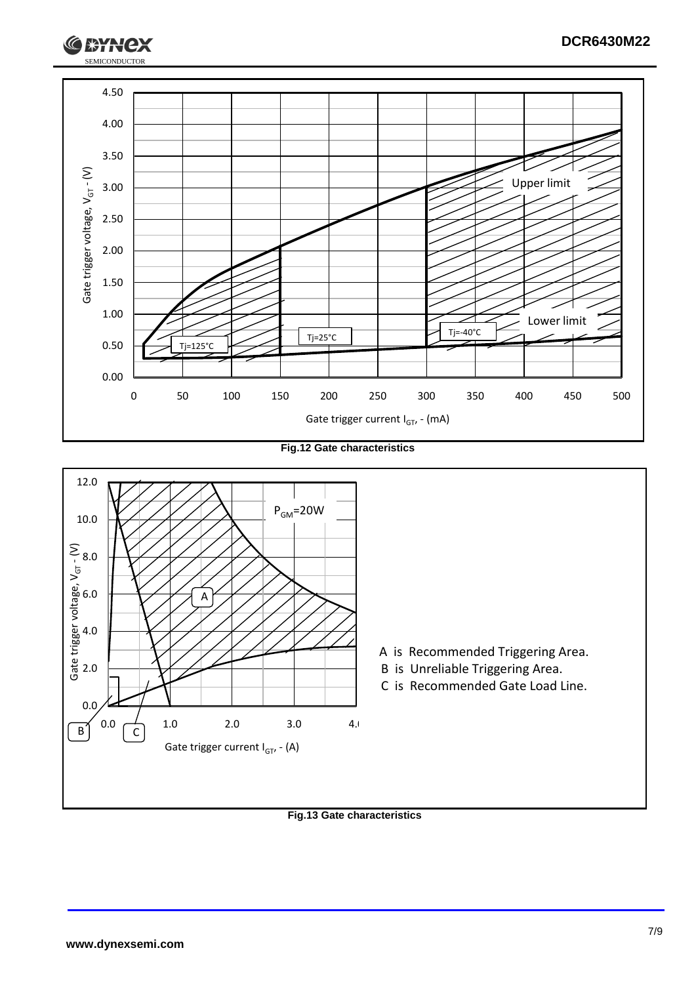

**Fig.12 Gate characteristics**



**Fig.13 Gate characteristics**

SEMICONDUCTOR

**XXX**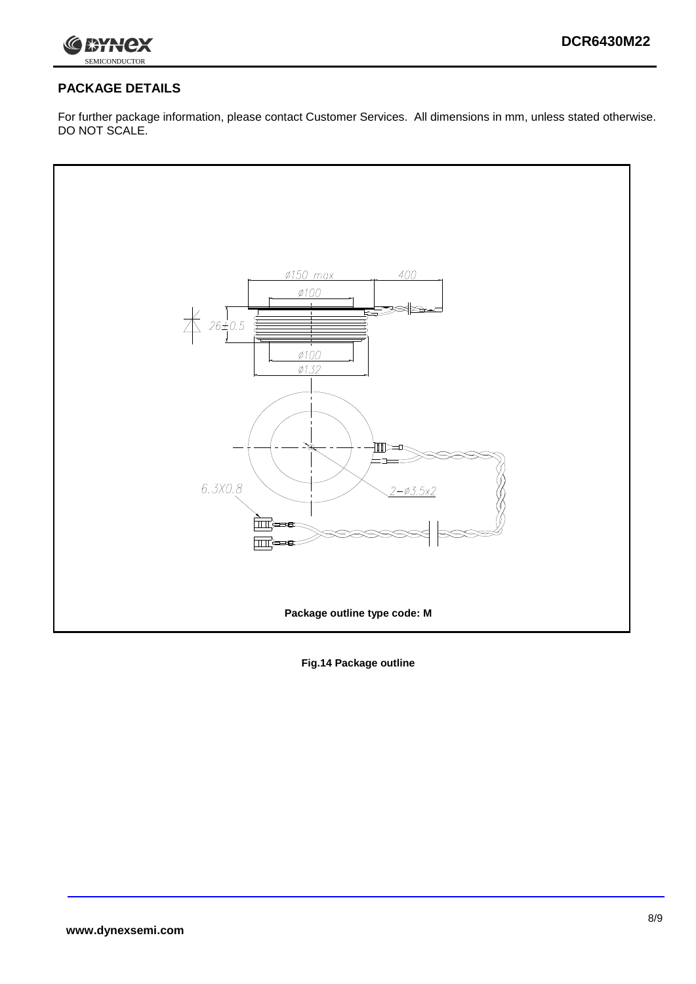

## **PACKAGE DETAILS**

For further package information, please contact Customer Services. All dimensions in mm, unless stated otherwise. DO NOT SCALE.



**Fig.14 Package outline**